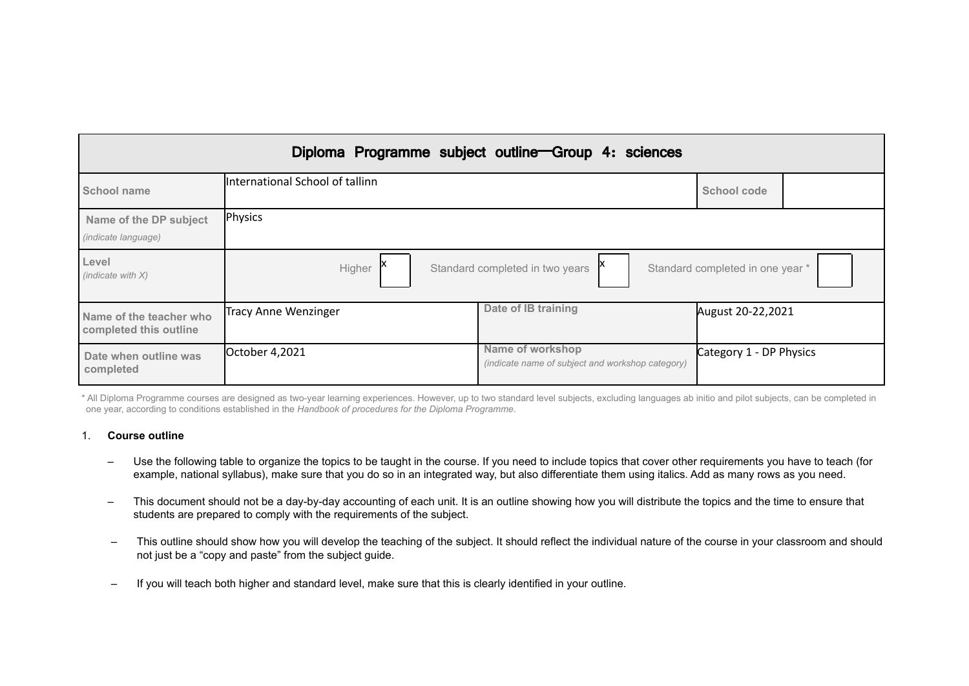|                                                      |                                 | Diploma Programme subject outline Group 4: sciences                  |                                  |
|------------------------------------------------------|---------------------------------|----------------------------------------------------------------------|----------------------------------|
| School name                                          | International School of tallinn |                                                                      | School code                      |
| Name of the DP subject<br><i>(indicate language)</i> | Physics                         |                                                                      |                                  |
| Level<br>(indicate with $X$ )                        | Higher                          | Standard completed in two years                                      | Standard completed in one year * |
| Name of the teacher who<br>completed this outline    | <b>Tracy Anne Wenzinger</b>     | Date of IB training                                                  | August 20-22,2021                |
| Date when outline was<br>completed                   | October 4,2021                  | Name of workshop<br>(indicate name of subject and workshop category) | Category 1 - DP Physics          |

\* All Diploma Programme courses are designed as two-year learning experiences. However, up to two standard level subjects, excluding languages ab initio and pilot subjects, can be completed in one year, according to conditions established in the *Handbook of procedures for the Diploma Programme*.

# 1. **Course outline**

- Use the following table to organize the topics to be taught in the course. If you need to include topics that cover other requirements you have to teach (for example, national syllabus), make sure that you do so in an integrated way, but also differentiate them using italics. Add as many rows as you need.
- This document should not be a day-by-day accounting of each unit. It is an outline showing how you will distribute the topics and the time to ensure that students are prepared to comply with the requirements of the subject.
- This outline should show how you will develop the teaching of the subject. It should reflect the individual nature of the course in your classroom and should not just be a "copy and paste" from the subject guide.
- If you will teach both higher and standard level, make sure that this is clearly identified in your outline.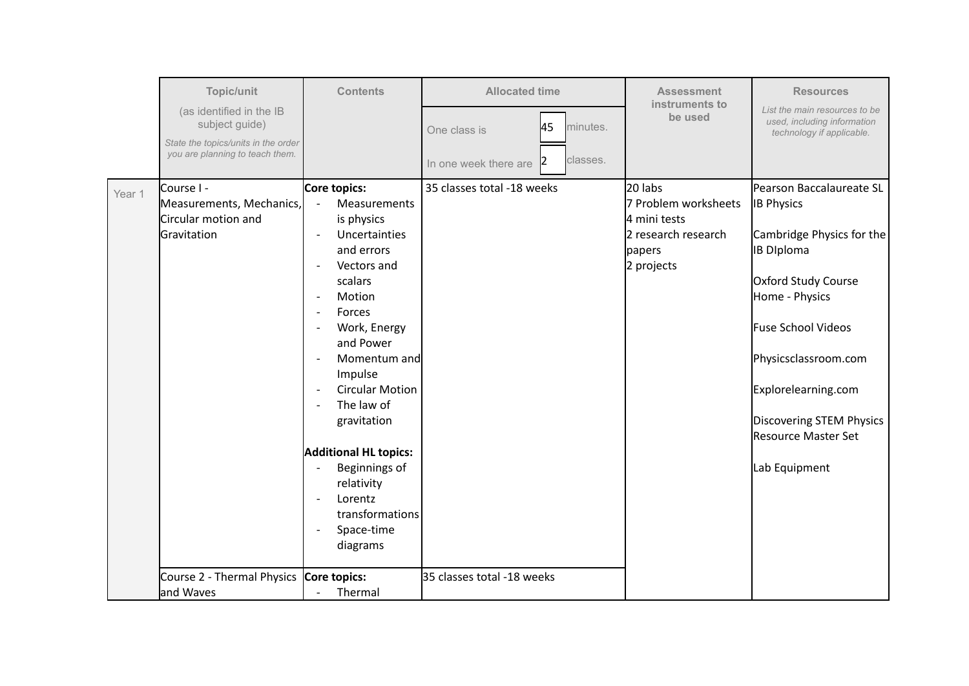|        | Topic/unit                                                                          | <b>Contents</b>                                                                                                                                                                                                                                                                                                                                                                                                                                                          | <b>Allocated time</b>                   | <b>Assessment</b>                                                                              | <b>Resources</b>                                                                                                                                                                                                     |
|--------|-------------------------------------------------------------------------------------|--------------------------------------------------------------------------------------------------------------------------------------------------------------------------------------------------------------------------------------------------------------------------------------------------------------------------------------------------------------------------------------------------------------------------------------------------------------------------|-----------------------------------------|------------------------------------------------------------------------------------------------|----------------------------------------------------------------------------------------------------------------------------------------------------------------------------------------------------------------------|
|        | (as identified in the IB<br>subject guide)                                          |                                                                                                                                                                                                                                                                                                                                                                                                                                                                          | 45<br>minutes.<br>One class is          | instruments to<br>be used                                                                      | List the main resources to be<br>used, including information<br>technology if applicable.                                                                                                                            |
|        | State the topics/units in the order<br>you are planning to teach them.              |                                                                                                                                                                                                                                                                                                                                                                                                                                                                          | classes.<br>12<br>In one week there are |                                                                                                |                                                                                                                                                                                                                      |
| Year 1 | <b>Course I -</b><br>Measurements, Mechanics,<br>Circular motion and<br>Gravitation | Core topics:<br><b>Measurements</b><br>$\overline{\phantom{a}}$<br>is physics<br>Uncertainties<br>$\overline{\phantom{a}}$<br>and errors<br>Vectors and<br>$\overline{\phantom{a}}$<br>scalars<br>Motion<br>$\overline{\phantom{a}}$<br>Forces<br>$\overline{\phantom{a}}$<br>Work, Energy<br>$\overline{\phantom{a}}$<br>and Power<br>Momentum and<br>$\overline{\phantom{a}}$<br>Impulse<br><b>Circular Motion</b><br>$\overline{\phantom{a}}$<br>The law of<br>$\sim$ | 35 classes total -18 weeks              | 20 labs<br>7 Problem worksheets<br>4 mini tests<br>2 research research<br>papers<br>2 projects | Pearson Baccalaureate SL<br><b>IB Physics</b><br>Cambridge Physics for the<br><b>IB Diploma</b><br>Oxford Study Course<br>Home - Physics<br><b>Fuse School Videos</b><br>Physicsclassroom.com<br>Explorelearning.com |
|        | Course 2 - Thermal Physics                                                          | gravitation<br><b>Additional HL topics:</b><br>Beginnings of<br>$\overline{a}$<br>relativity<br>Lorentz<br>$\overline{\phantom{a}}$<br>transformations<br>Space-time<br>$\overline{\phantom{a}}$<br>diagrams<br>Core topics:                                                                                                                                                                                                                                             | 35 classes total -18 weeks              |                                                                                                | Discovering STEM Physics<br><b>Resource Master Set</b><br>Lab Equipment                                                                                                                                              |
|        | and Waves                                                                           | Thermal<br>$\overline{\phantom{a}}$                                                                                                                                                                                                                                                                                                                                                                                                                                      |                                         |                                                                                                |                                                                                                                                                                                                                      |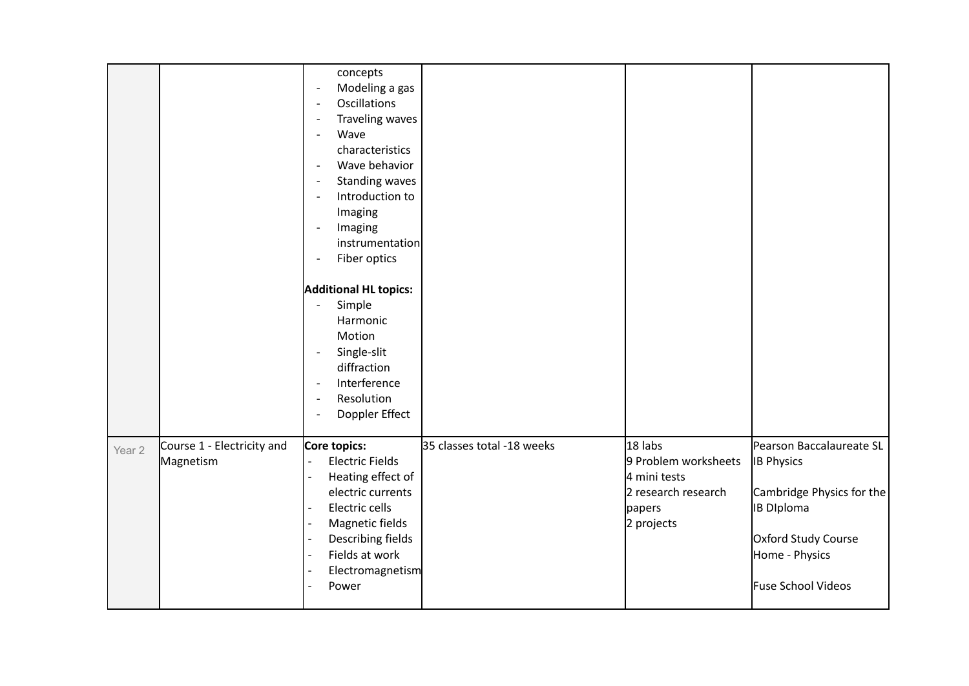|                   |                                         | concepts<br>Modeling a gas<br>$\overline{\phantom{a}}$<br><b>Oscillations</b><br>$\overline{\phantom{a}}$<br>Traveling waves<br>$\overline{\phantom{a}}$<br>Wave<br>$\blacksquare$<br>characteristics<br>Wave behavior<br>$\overline{\phantom{a}}$<br><b>Standing waves</b><br>$\overline{\phantom{a}}$<br>Introduction to<br>$\overline{\phantom{a}}$<br>Imaging<br>Imaging<br>$\overline{\phantom{a}}$<br>instrumentation<br>Fiber optics<br>$\overline{\phantom{a}}$<br><b>Additional HL topics:</b><br>Simple<br>$\overline{\phantom{a}}$<br>Harmonic<br>Motion<br>Single-slit<br>$\overline{\phantom{a}}$<br>diffraction<br>Interference<br>$\overline{\phantom{a}}$<br>Resolution<br>$\overline{\phantom{a}}$<br>Doppler Effect<br>$\overline{\phantom{a}}$ |                            |                                                                                                |                                                                                                                                                                |
|-------------------|-----------------------------------------|-------------------------------------------------------------------------------------------------------------------------------------------------------------------------------------------------------------------------------------------------------------------------------------------------------------------------------------------------------------------------------------------------------------------------------------------------------------------------------------------------------------------------------------------------------------------------------------------------------------------------------------------------------------------------------------------------------------------------------------------------------------------|----------------------------|------------------------------------------------------------------------------------------------|----------------------------------------------------------------------------------------------------------------------------------------------------------------|
| Year <sub>2</sub> | Course 1 - Electricity and<br>Magnetism | Core topics:<br><b>Electric Fields</b><br>$\mathbb{L}$<br>$\overline{a}$<br>Heating effect of<br>electric currents<br>Electric cells<br>Magnetic fields<br>$\overline{\phantom{a}}$<br>Describing fields<br>$\overline{\phantom{a}}$<br>Fields at work<br>$\overline{\phantom{a}}$<br>Electromagnetism<br>$\overline{\phantom{a}}$<br>Power<br>$\overline{a}$                                                                                                                                                                                                                                                                                                                                                                                                     | 35 classes total -18 weeks | 18 labs<br>9 Problem worksheets<br>4 mini tests<br>2 research research<br>papers<br>2 projects | Pearson Baccalaureate SL<br><b>IB Physics</b><br>Cambridge Physics for the<br><b>IB Diploma</b><br>Oxford Study Course<br>Home - Physics<br>Fuse School Videos |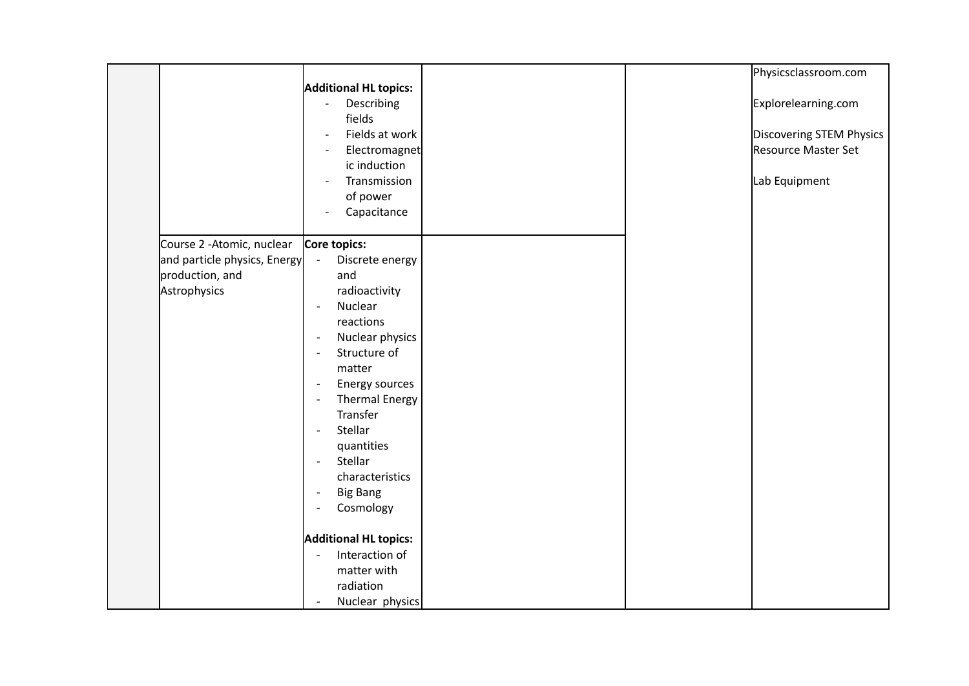|                              |                                                   |  | Physicsclassroom.com     |
|------------------------------|---------------------------------------------------|--|--------------------------|
|                              | Additional HL topics:                             |  |                          |
|                              | Describing<br>$\sim$                              |  | Explorelearning.com      |
|                              | fields                                            |  |                          |
|                              | Fields at work<br>$\overline{\phantom{a}}$        |  | Discovering STEM Physics |
|                              | Electromagnet<br>$\overline{\phantom{0}}$         |  | Resource Master Set      |
|                              | ic induction                                      |  |                          |
|                              | Transmission<br>$\overline{\phantom{a}}$          |  | Lab Equipment            |
|                              | of power                                          |  |                          |
|                              | Capacitance<br>$\overline{\phantom{a}}$           |  |                          |
|                              |                                                   |  |                          |
| Course 2 - Atomic, nuclear   | Core topics:                                      |  |                          |
| and particle physics, Energy | Discrete energy<br>$\blacksquare$                 |  |                          |
| production, and              | and                                               |  |                          |
| Astrophysics                 | radioactivity                                     |  |                          |
|                              | Nuclear<br>$\blacksquare$                         |  |                          |
|                              | reactions                                         |  |                          |
|                              | Nuclear physics<br>$\overline{\phantom{a}}$       |  |                          |
|                              | Structure of<br>$\blacksquare$                    |  |                          |
|                              | matter                                            |  |                          |
|                              | Energy sources<br>$\overline{\phantom{a}}$        |  |                          |
|                              | <b>Thermal Energy</b><br>$\overline{\phantom{a}}$ |  |                          |
|                              | Transfer                                          |  |                          |
|                              | Stellar<br>$\blacksquare$                         |  |                          |
|                              | quantities                                        |  |                          |
|                              | Stellar<br>$\blacksquare$                         |  |                          |
|                              | characteristics                                   |  |                          |
|                              | <b>Big Bang</b>                                   |  |                          |
|                              | Cosmology                                         |  |                          |
|                              |                                                   |  |                          |
|                              | <b>Additional HL topics:</b>                      |  |                          |
|                              | Interaction of<br>$\mathbf{r}$                    |  |                          |
|                              | matter with                                       |  |                          |
|                              | radiation                                         |  |                          |
|                              | Nuclear physics                                   |  |                          |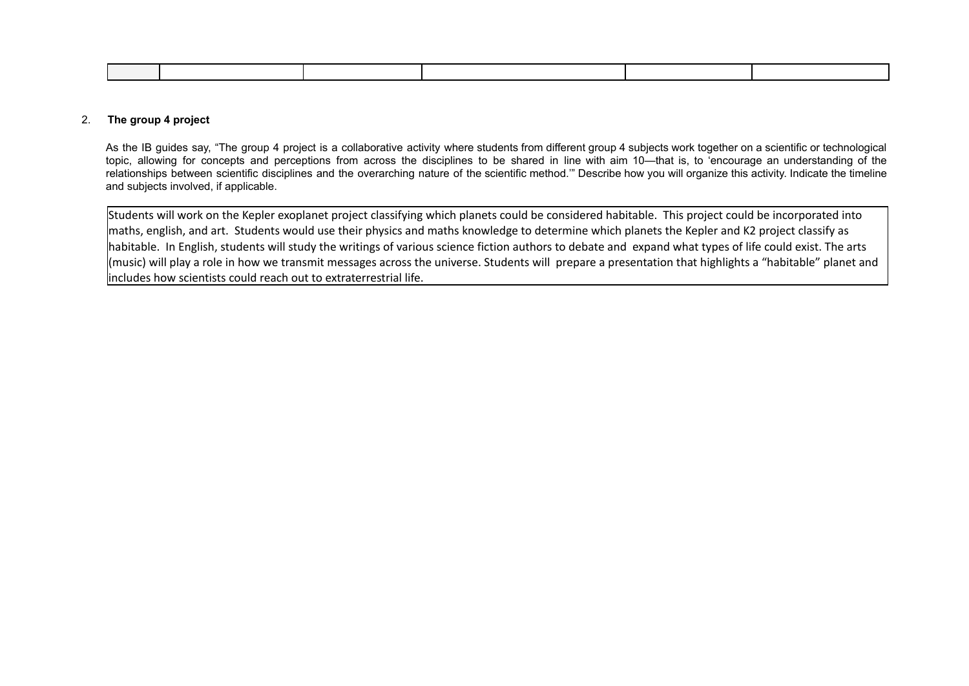#### 2. **The group 4 project**

As the IB guides say, "The group 4 project is a collaborative activity where students from different group 4 subjects work together on a scientific or technological topic, allowing for concepts and perceptions from across the disciplines to be shared in line with aim 10—that is, to 'encourage an understanding of the relationships between scientific disciplines and the overarching nature of the scientific method.'" Describe how you will organize this activity. Indicate the timeline and subjects involved, if applicable.

Students will work on the Kepler exoplanet project classifying which planets could be considered habitable. This project could be incorporated into maths, english, and art. Students would use their physics and maths knowledge to determine which planets the Kepler and K2 project classify as habitable. In English, students will study the writings of various science fiction authors to debate and expand what types of life could exist. The arts (music) will play a role in how we transmit messages across the universe. Students will prepare a presentation that highlights a "habitable" planet and includes how scientists could reach out to extraterrestrial life.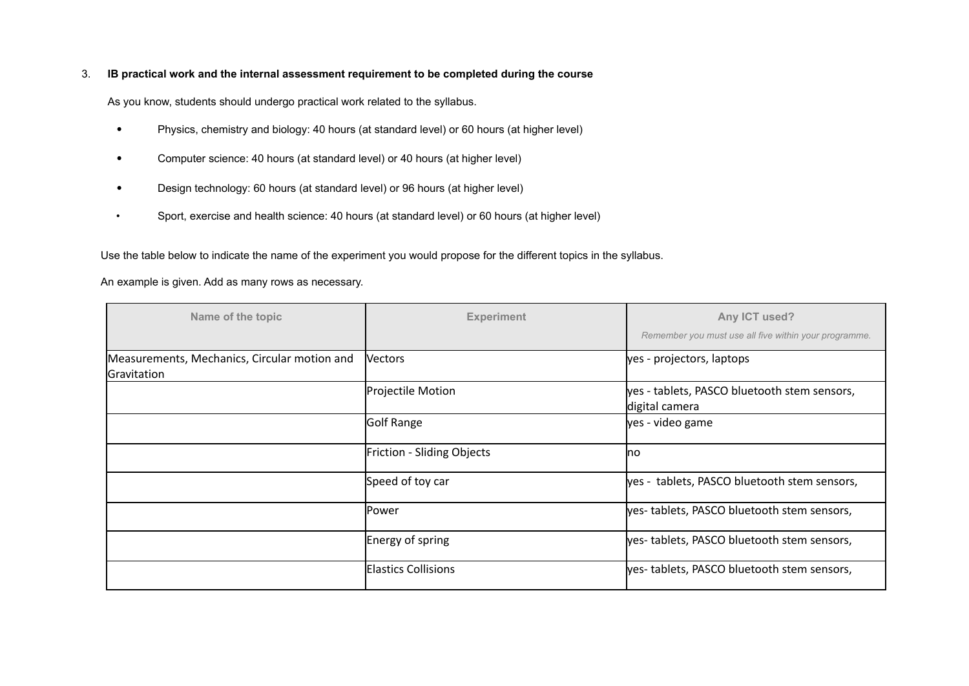# 3. **IB practical work and the internal assessment requirement to be completed during the course**

As you know, students should undergo practical work related to the syllabus.

- Physics, chemistry and biology: 40 hours (at standard level) or 60 hours (at higher level)
- Computer science: 40 hours (at standard level) or 40 hours (at higher level)
- Design technology: 60 hours (at standard level) or 96 hours (at higher level)
- Sport, exercise and health science: 40 hours (at standard level) or 60 hours (at higher level)

Use the table below to indicate the name of the experiment you would propose for the different topics in the syllabus.

# An example is given. Add as many rows as necessary.

| Name of the topic                                           | <b>Experiment</b>          | Any ICT used?<br>Remember you must use all five within your programme. |
|-------------------------------------------------------------|----------------------------|------------------------------------------------------------------------|
| Measurements, Mechanics, Circular motion and<br>Gravitation | <b>Vectors</b>             | yes - projectors, laptops                                              |
|                                                             | Projectile Motion          | yes - tablets, PASCO bluetooth stem sensors,<br>digital camera         |
|                                                             | Golf Range                 | yes - video game                                                       |
|                                                             | Friction - Sliding Objects | lno                                                                    |
|                                                             | Speed of toy car           | yes - tablets, PASCO bluetooth stem sensors,                           |
|                                                             | Power                      | yes-tablets, PASCO bluetooth stem sensors,                             |
|                                                             | Energy of spring           | yes-tablets, PASCO bluetooth stem sensors,                             |
|                                                             | <b>Elastics Collisions</b> | yes-tablets, PASCO bluetooth stem sensors,                             |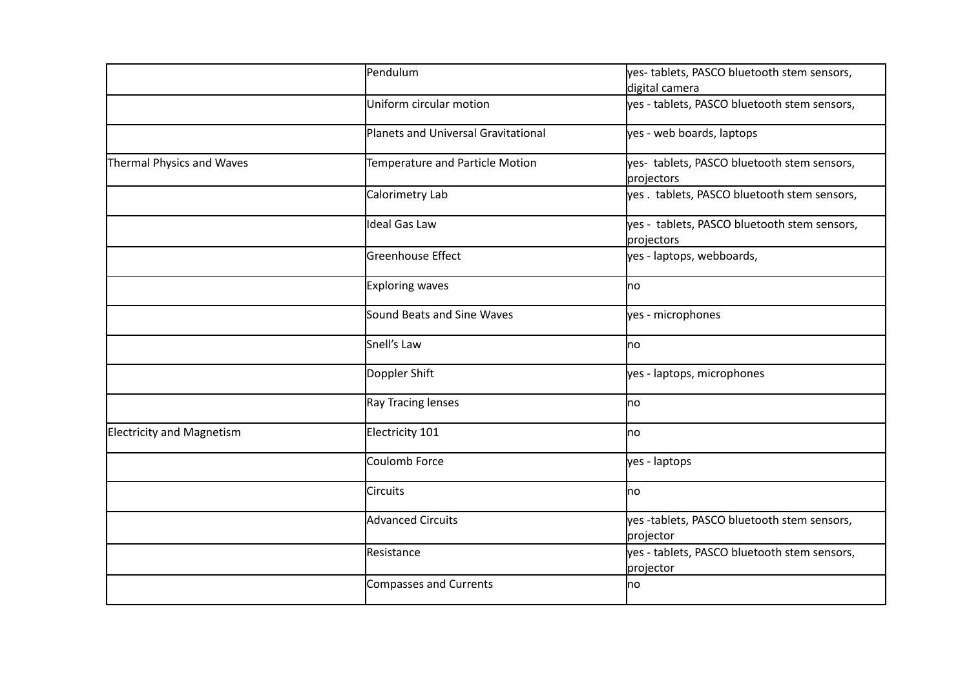|                                  | Pendulum                            | yes-tablets, PASCO bluetooth stem sensors,                 |
|----------------------------------|-------------------------------------|------------------------------------------------------------|
|                                  |                                     | digital camera                                             |
|                                  | Uniform circular motion             | yes - tablets, PASCO bluetooth stem sensors,               |
|                                  | Planets and Universal Gravitational | yes - web boards, laptops                                  |
| Thermal Physics and Waves        | Temperature and Particle Motion     | yes- tablets, PASCO bluetooth stem sensors,<br>projectors  |
|                                  | Calorimetry Lab                     | yes. tablets, PASCO bluetooth stem sensors,                |
|                                  | Ideal Gas Law                       | yes - tablets, PASCO bluetooth stem sensors,<br>projectors |
|                                  | Greenhouse Effect                   | yes - laptops, webboards,                                  |
|                                  | Exploring waves                     | no                                                         |
|                                  | Sound Beats and Sine Waves          | yes - microphones                                          |
|                                  | Snell's Law                         | <b>no</b>                                                  |
|                                  | Doppler Shift                       | yes - laptops, microphones                                 |
|                                  | Ray Tracing lenses                  | <b>I</b> no                                                |
| <b>Electricity and Magnetism</b> | Electricity 101                     | <b>I</b> no                                                |
|                                  | Coulomb Force                       | yes - laptops                                              |
|                                  | <b>Circuits</b>                     | lno                                                        |
|                                  | Advanced Circuits                   | yes -tablets, PASCO bluetooth stem sensors,<br>projector   |
|                                  | Resistance                          | yes - tablets, PASCO bluetooth stem sensors,<br>projector  |
|                                  | Compasses and Currents              | <b>no</b>                                                  |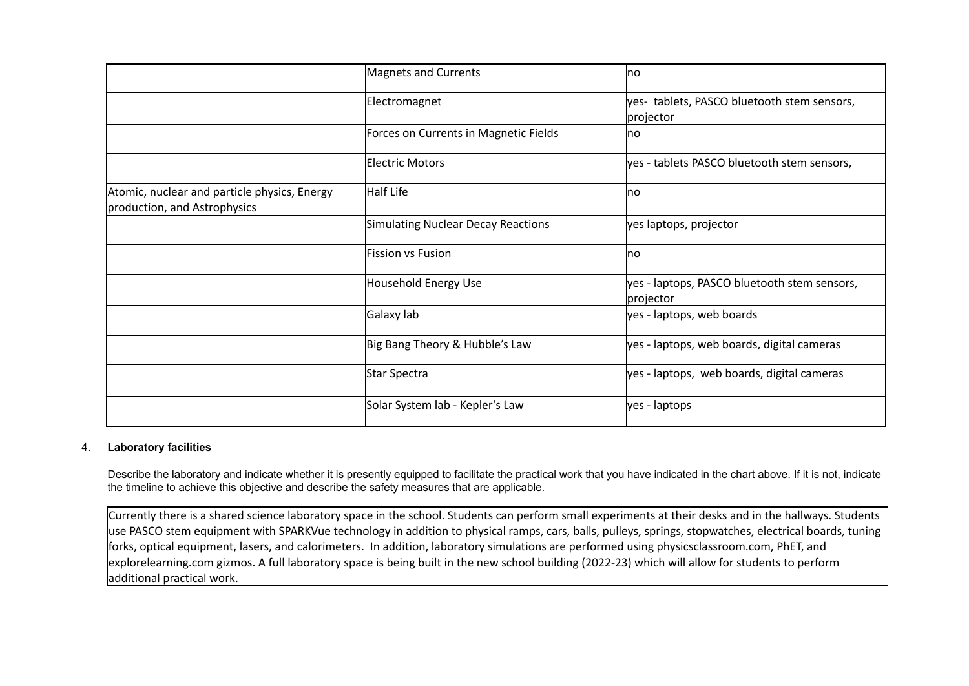|                                                                              | Magnets and Currents                  | lno                                                       |
|------------------------------------------------------------------------------|---------------------------------------|-----------------------------------------------------------|
|                                                                              | Electromagnet                         | yes- tablets, PASCO bluetooth stem sensors,<br>projector  |
|                                                                              | Forces on Currents in Magnetic Fields | <b>I</b> no                                               |
|                                                                              | Electric Motors                       | yes - tablets PASCO bluetooth stem sensors,               |
| Atomic, nuclear and particle physics, Energy<br>production, and Astrophysics | Half Life                             | <b>I</b> no                                               |
|                                                                              | Simulating Nuclear Decay Reactions    | yes laptops, projector                                    |
|                                                                              | <b>Fission vs Fusion</b>              | Ino                                                       |
|                                                                              | Household Energy Use                  | yes - laptops, PASCO bluetooth stem sensors,<br>projector |
|                                                                              | Galaxy lab                            | yes - laptops, web boards                                 |
|                                                                              | Big Bang Theory & Hubble's Law        | yes - laptops, web boards, digital cameras                |
|                                                                              | Star Spectra                          | yes - laptops, web boards, digital cameras                |
|                                                                              | Solar System lab - Kepler's Law       | yes - laptops                                             |

# 4. **Laboratory facilities**

Describe the laboratory and indicate whether it is presently equipped to facilitate the practical work that you have indicated in the chart above. If it is not, indicate the timeline to achieve this objective and describe the safety measures that are applicable.

Currently there is a shared science laboratory space in the school. Students can perform small experiments at their desks and in the hallways. Students use PASCO stem equipment with SPARKVue technology in addition to physical ramps, cars, balls, pulleys, springs, stopwatches, electrical boards, tuning forks, optical equipment, lasers, and calorimeters. In addition, laboratory simulations are performed using physicsclassroom.com, PhET, and explorelearning.com gizmos. A full laboratory space is being built in the new school building (2022-23) which will allow for students to perform additional practical work.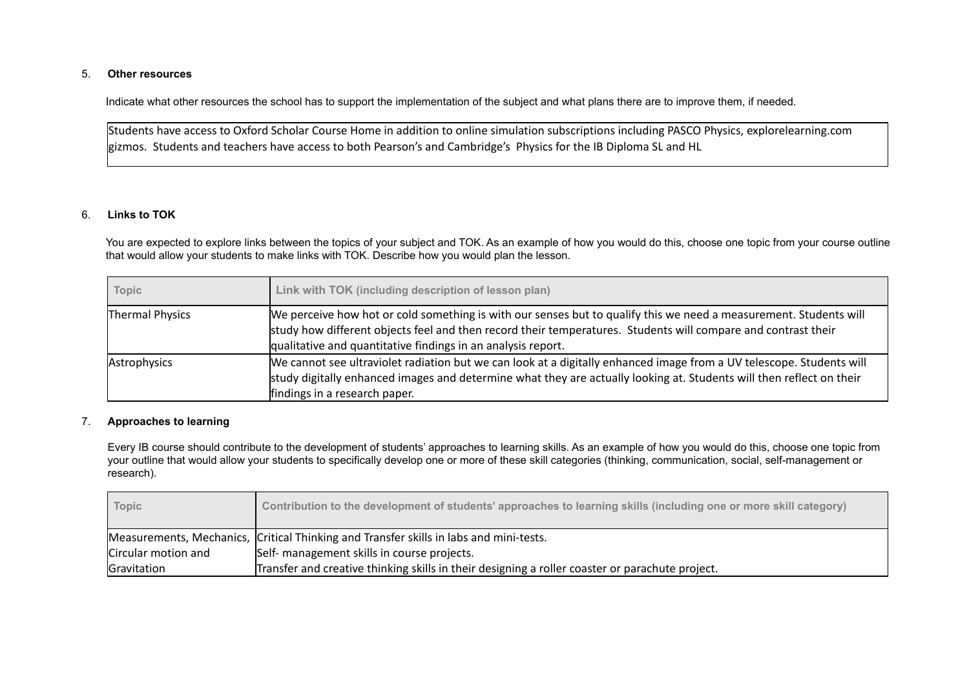# 5. **Other resources**

Indicate what other resources the school has to support the implementation of the subject and what plans there are to improve them, if needed.

Students have access to Oxford Scholar Course Home in addition to online simulation subscriptions including PASCO Physics, explorelearning.com gizmos. Students and teachers have access to both Pearson's and Cambridge's Physics for the IB Diploma SL and HL

# 6. **Links to TOK**

You are expected to explore links between the topics of your subject and TOK. As an example of how you would do this, choose one topic from your course outline that would allow your students to make links with TOK. Describe how you would plan the lesson.

| Topic           | Link with TOK (including description of lesson plan)                                                                                                                                                                                                                                               |
|-----------------|----------------------------------------------------------------------------------------------------------------------------------------------------------------------------------------------------------------------------------------------------------------------------------------------------|
| Thermal Physics | We perceive how hot or cold something is with our senses but to qualify this we need a measurement. Students will<br>study how different objects feel and then record their temperatures. Students will compare and contrast their<br>qualitative and quantitative findings in an analysis report. |
| Astrophysics    | We cannot see ultraviolet radiation but we can look at a digitally enhanced image from a UV telescope. Students will<br>study digitally enhanced images and determine what they are actually looking at. Students will then reflect on their<br>findings in a research paper.                      |

#### 7. **Approaches to learning**

Every IB course should contribute to the development of students' approaches to learning skills. As an example of how you would do this, choose one topic from your outline that would allow your students to specifically develop one or more of these skill categories (thinking, communication, social, self-management or research).

| <b>Topic</b>        | Contribution to the development of students' approaches to learning skills (including one or more skill category) |
|---------------------|-------------------------------------------------------------------------------------------------------------------|
|                     | Measurements, Mechanics, Critical Thinking and Transfer skills in labs and mini-tests.                            |
| Circular motion and | Self- management skills in course projects.                                                                       |
| Gravitation         | Transfer and creative thinking skills in their designing a roller coaster or parachute project.                   |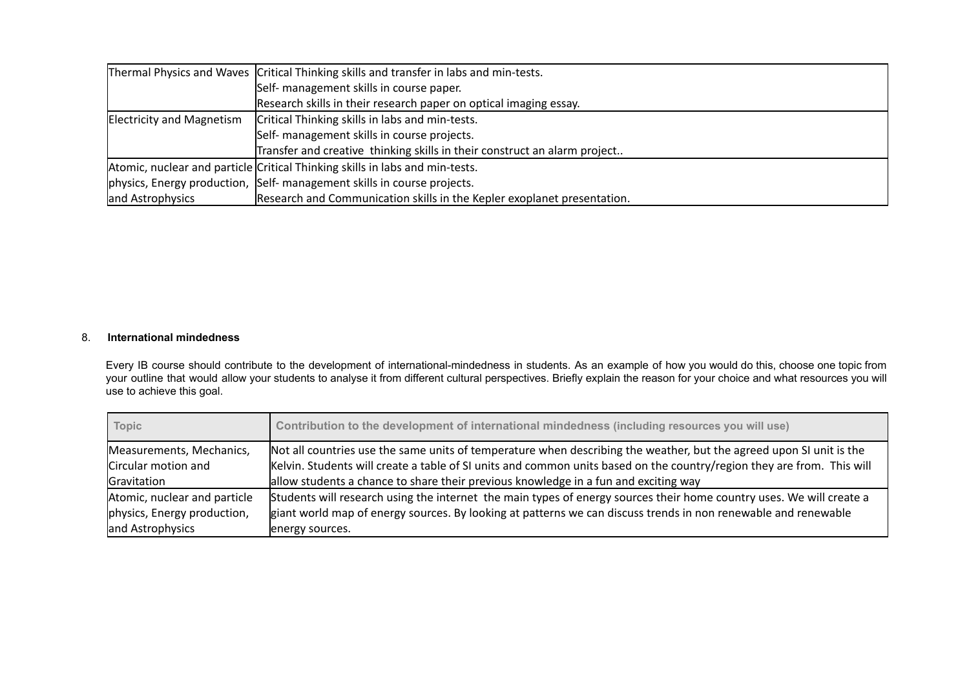|                           | Thermal Physics and Waves Critical Thinking skills and transfer in labs and min-tests. |  |
|---------------------------|----------------------------------------------------------------------------------------|--|
|                           | Self- management skills in course paper.                                               |  |
|                           | Research skills in their research paper on optical imaging essay.                      |  |
| Electricity and Magnetism | Critical Thinking skills in labs and min-tests.                                        |  |
|                           | Self- management skills in course projects.                                            |  |
|                           | Transfer and creative thinking skills in their construct an alarm project              |  |
|                           | Atomic, nuclear and particle Critical Thinking skills in labs and min-tests.           |  |
|                           | physics, Energy production, Self- management skills in course projects.                |  |
| and Astrophysics          | Research and Communication skills in the Kepler exoplanet presentation.                |  |

# 8. **International mindedness**

Every IB course should contribute to the development of international-mindedness in students. As an example of how you would do this, choose one topic from your outline that would allow your students to analyse it from different cultural perspectives. Briefly explain the reason for your choice and what resources you will use to achieve this goal.

| Topic                        | Contribution to the development of international mindedness (including resources you will use)                         |
|------------------------------|------------------------------------------------------------------------------------------------------------------------|
| Measurements, Mechanics,     | Not all countries use the same units of temperature when describing the weather, but the agreed upon SI unit is the    |
| Circular motion and          | Kelvin. Students will create a table of SI units and common units based on the country/region they are from. This will |
| Gravitation                  | allow students a chance to share their previous knowledge in a fun and exciting way                                    |
| Atomic, nuclear and particle | Students will research using the internet the main types of energy sources their home country uses. We will create a   |
| physics, Energy production,  | giant world map of energy sources. By looking at patterns we can discuss trends in non renewable and renewable         |
| and Astrophysics             | energy sources.                                                                                                        |